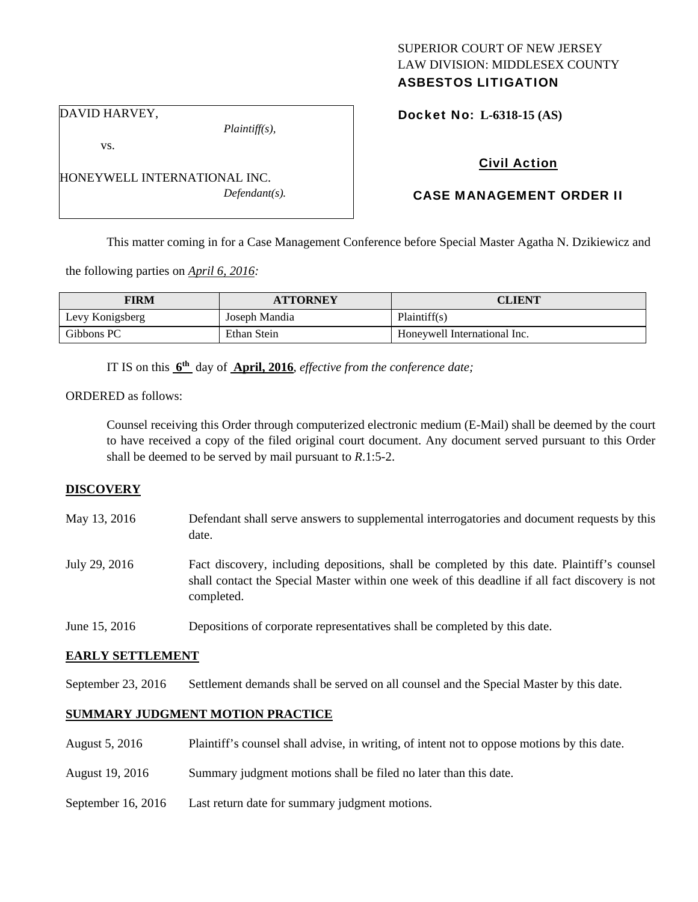## SUPERIOR COURT OF NEW JERSEY LAW DIVISION: MIDDLESEX COUNTY ASBESTOS LITIGATION

Docket No: **L-6318-15 (AS)** 

DAVID HARVEY,

vs.

*Plaintiff(s),* 

*Defendant(s).* 

Civil Action

# CASE MANAGEMENT ORDER II

This matter coming in for a Case Management Conference before Special Master Agatha N. Dzikiewicz and

the following parties on *April 6, 2016:* 

HONEYWELL INTERNATIONAL INC.

| <b>FIRM</b>     | <b>ATTORNEY</b> | <b>CLIENT</b>                |
|-----------------|-----------------|------------------------------|
| Levy Konigsberg | Joseph Mandia   | Plaintiff(s)                 |
| Gibbons PC      | Ethan Stein     | Honeywell International Inc. |

IT IS on this **6th** day of **April, 2016**, *effective from the conference date;*

ORDERED as follows:

Counsel receiving this Order through computerized electronic medium (E-Mail) shall be deemed by the court to have received a copy of the filed original court document. Any document served pursuant to this Order shall be deemed to be served by mail pursuant to *R*.1:5-2.

## **DISCOVERY**

- May 13, 2016 Defendant shall serve answers to supplemental interrogatories and document requests by this date.
- July 29, 2016 Fact discovery, including depositions, shall be completed by this date. Plaintiff's counsel shall contact the Special Master within one week of this deadline if all fact discovery is not completed.
- June 15, 2016 Depositions of corporate representatives shall be completed by this date.

## **EARLY SETTLEMENT**

September 23, 2016 Settlement demands shall be served on all counsel and the Special Master by this date.

## **SUMMARY JUDGMENT MOTION PRACTICE**

- August 5, 2016 Plaintiff's counsel shall advise, in writing, of intent not to oppose motions by this date.
- August 19, 2016 Summary judgment motions shall be filed no later than this date.
- September 16, 2016 Last return date for summary judgment motions.